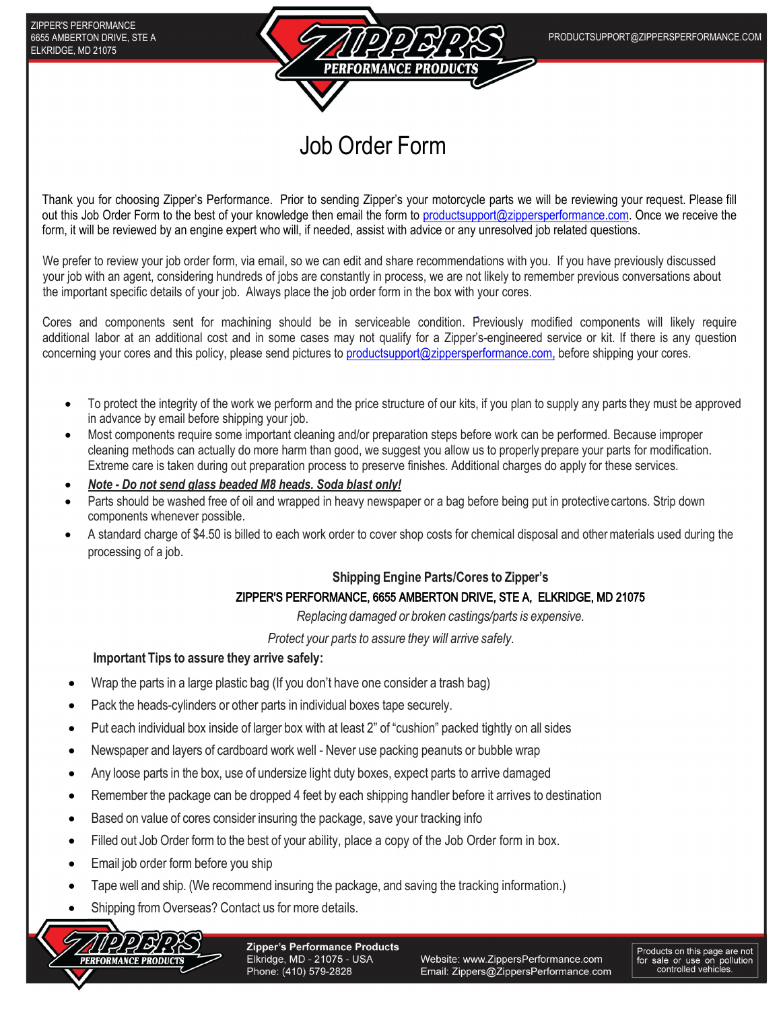

## Job Order Form

Thank you for choosing Zipper's Performance. Prior to sending Zipper's your motorcycle parts we will be reviewing your request. Please fill out this Job Order Form to the best of your knowledge then email the form to [productsupport@zippersperformance.com. On](mailto:productsupport@zippersperformance.com)ce we receive the form, it will be reviewed by an engine expert who will, if needed, assist with advice or any unresolved job related questions.

We prefer to review your job order form, via email, so we can edit and share recommendations with you. If you have previously discussed your job with an agent, considering hundreds of jobs are constantly in process, we are not likely to remember previous conversations about the important specific details of your job. Always place the job order form in the box with your cores.

Cores and components sent for machining should be in serviceable condition. Previously modified components will likely require additional labor at an additional cost and in some cases may not qualify for a Zipper's-engineered service or kit. If there is any question concerning your cores and this policy, please send pictures t[o productsupport@zippersperformance.com,](mailto:productsupport@zippersperformance.com,) before shipping your cores.

- To protect the integrity of the work we perform and the price structure of our kits, if you plan to supply any parts they must be approved in advance by email before shipping your job.
- Most components require some important cleaning and/or preparation steps before work can be performed. Because improper cleaning methods can actually do more harm than good, we suggest you allow us to properly prepare your parts for modification. Extreme care is taken during out preparation process to preserve finishes. Additional charges do apply for these services.
- *Note Do not send glass beaded M8 heads. Soda blast only!*
- Parts should be washed free of oil and wrapped in heavy newspaper or a bag before being put in protective cartons. Strip down components whenever possible.
- A standard charge of \$4.50 is billed to each work order to cover shop costs for chemical disposal and other materials used during the processing of a job.

## **Shipping Engine Parts/Cores to Zipper's**

## ZIPPER'S PERFORMANCE, 6655 AMBERTON DRIVE, STE A, ELKRIDGE, MD 21075

*Replacing damaged or broken castings/parts is expensive.*

*Protect your parts to assure they will arrive safely.*

## **Important Tips to assure they arrive safely:**

- Wrap the parts in a large plastic bag (If you don't have one consider a trash bag)
- Pack the heads-cylinders or other parts in individual boxes tape securely.
- Put each individual box inside of larger box with at least 2" of "cushion" packed tightly on all sides
- Newspaper and layers of cardboard work well Never use packing peanuts or bubble wrap
- Any loose parts in the box, use of undersize light duty boxes, expect parts to arrive damaged
- Remember the package can be dropped 4 feet by each shipping handler before it arrives to destination
- Based on value of cores consider insuring the package, save your tracking info
- Filled out Job Order form to the best of your ability, place a copy of the Job Order form in box.
- Email job order form before you ship
- Tape well and ship. (We recommend insuring the package, and saving the tracking information.)
- Shipping from Overseas? Contact us for more details.



**Zipper's Performance Products** Elkridge, MD - 21075 - USA Phone: (410) 579-2828

Website: www.ZippersPerformance.com Email: Zippers@ZippersPerformance.com Products on this page are not<br>for sale or use on pollution<br>controlled vehicles.